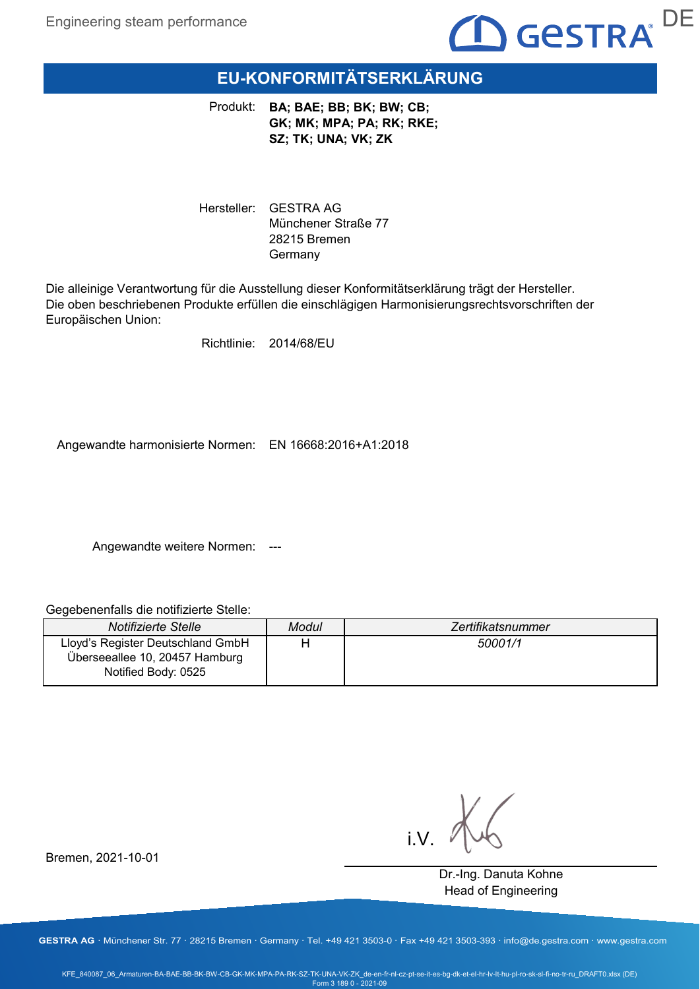

# **EU-KONFORMITÄTSERKLÄRUNG**

Produkt: **BA; BAE; BB; BK; BW; CB; GK; MK; MPA; PA; RK; RKE; SZ; TK; UNA; VK; ZK**

Hersteller: GESTRA AG Münchener Straße 77 28215 Bremen Germany

Die alleinige Verantwortung für die Ausstellung dieser Konformitätserklärung trägt der Hersteller. Die oben beschriebenen Produkte erfüllen die einschlägigen Harmonisierungsrechtsvorschriften der Europäischen Union:

Richtlinie: 2014/68/EU

Angewandte harmonisierte Normen: EN 16668:2016+A1:2018

Angewandte weitere Normen: ---

Gegebenenfalls die notifizierte Stelle:

| Notifizierte Stelle                                                                        | Modul | Zertifikatsnummer |
|--------------------------------------------------------------------------------------------|-------|-------------------|
| Lloyd's Register Deutschland GmbH<br>Überseeallee 10, 20457 Hamburg<br>Notified Body: 0525 |       | 50001/1           |

i.V.

Dr.-Ing. Danuta Kohne Head of Engineering

Bremen, 2021-10-01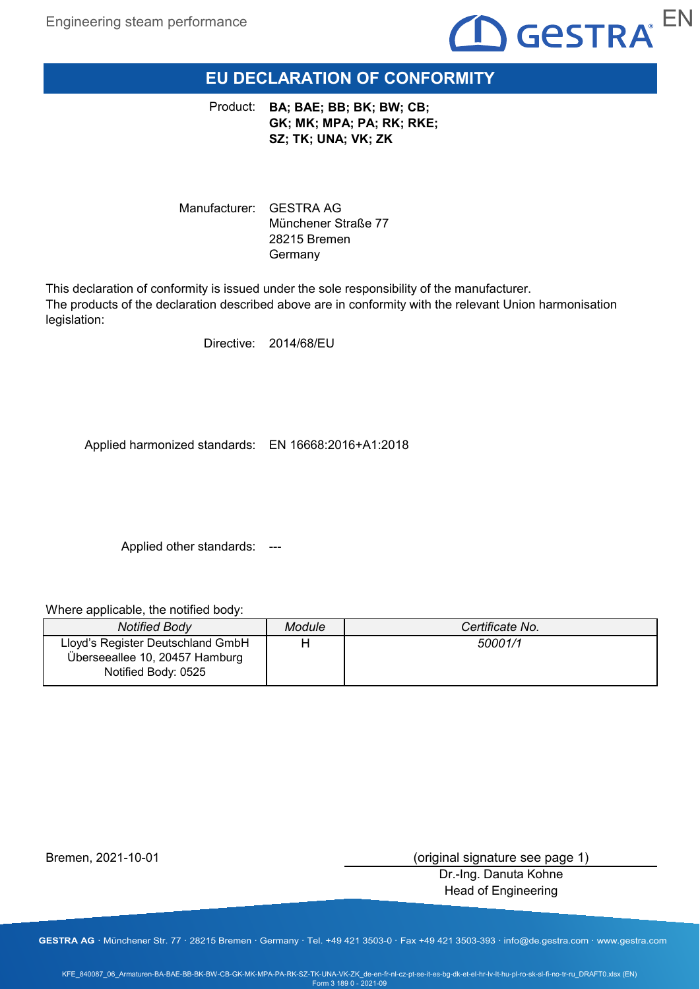

# **EU DECLARATION OF CONFORMITY**

Product: **BA; BAE; BB; BK; BW; CB; GK; MK; MPA; PA; RK; RKE; SZ; TK; UNA; VK; ZK**

Manufacturer: GESTRA AG Münchener Straße 77 28215 Bremen Germany

This declaration of conformity is issued under the sole responsibility of the manufacturer. The products of the declaration described above are in conformity with the relevant Union harmonisation legislation:

Directive: 2014/68/EU

Applied harmonized standards: EN 16668:2016+A1:2018

Applied other standards: ---

Where applicable, the notified body:

| <b>Notified Body</b>                                                                       | Module | Certificate No. |
|--------------------------------------------------------------------------------------------|--------|-----------------|
| Lloyd's Register Deutschland GmbH<br>Überseeallee 10, 20457 Hamburg<br>Notified Body: 0525 |        | 50001/1         |

Bremen, 2021-10-01

(original signature see page 1)

Dr.-Ing. Danuta Kohne Head of Engineering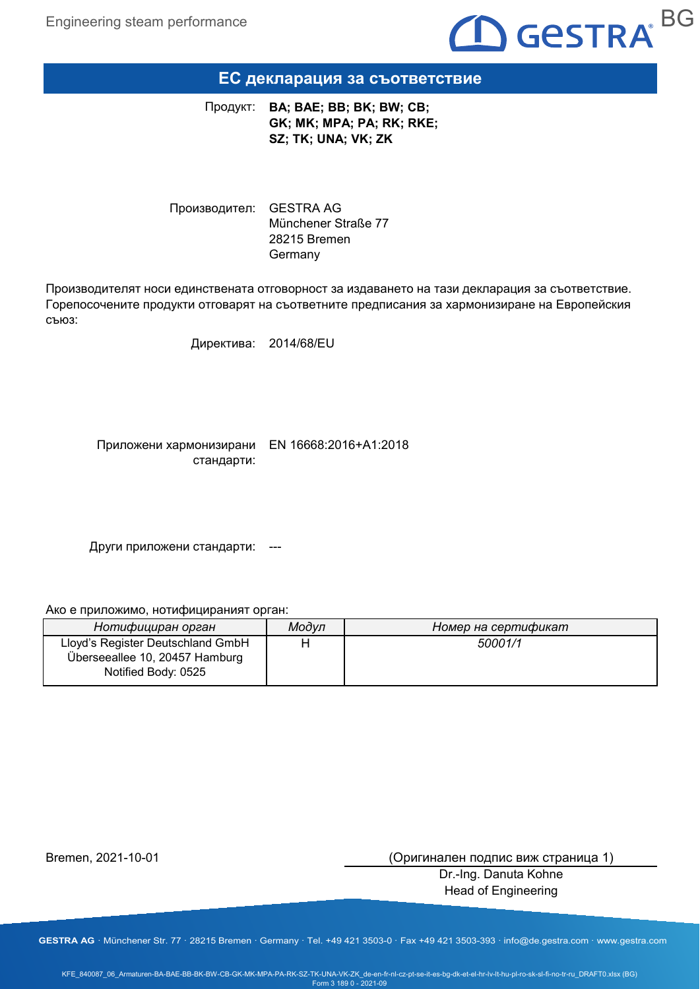

#### **ЕС декларация за съответствие**

**BA; BAE; BB; BK; BW; CB;**  Продукт: **GK; MK; MPA; PA; RK; RKE; SZ; TK; UNA; VK; ZK**

Производител: GESTRA AG Münchener Straße 77 28215 Bremen Germany

Производителят носи единствената отговорност за издаването на тази декларация за съответствие. Горепосочените продукти отговарят на съответните предписания за хармонизиране на Европейския съюз:

Директива: 2014/68/EU

Приложени хармонизирани EN 16668:2016+A1:2018 стандарти:

Други приложени стандарти: ---

Ако е приложимо, нотифицираният орган:

| Нотифициран орган                                                                          | Модул | Номер на сертификат |
|--------------------------------------------------------------------------------------------|-------|---------------------|
| Lloyd's Register Deutschland GmbH<br>Überseeallee 10, 20457 Hamburg<br>Notified Body: 0525 |       | 50001/1             |

Bremen, 2021-10-01

(Оригинален подпис виж страница 1)

Dr.-Ing. Danuta Kohne Head of Engineering

**GESTRA AG** · Münchener Str. 77 · 28215 Bremen · Germany · Tel. +49 421 3503-0 · Fax +49 421 3503-393 · info@de.gestra.com · www.gestra.com

KFE\_840087\_06\_Armaturen-BA-BAE-BB-BK-BW-CB-GK-MK-MPA-PA-RK-SZ-TK-UNA-VK-ZK\_de-en-fr-nl-cz-pt-se-it-es-bg-dk-et-el-hr-lv-lt-hu-pl-ro-sk-sl-fi-no-tr-ru\_DRAFT0.xlsx (BG) Form 3 189 0 - 2021-09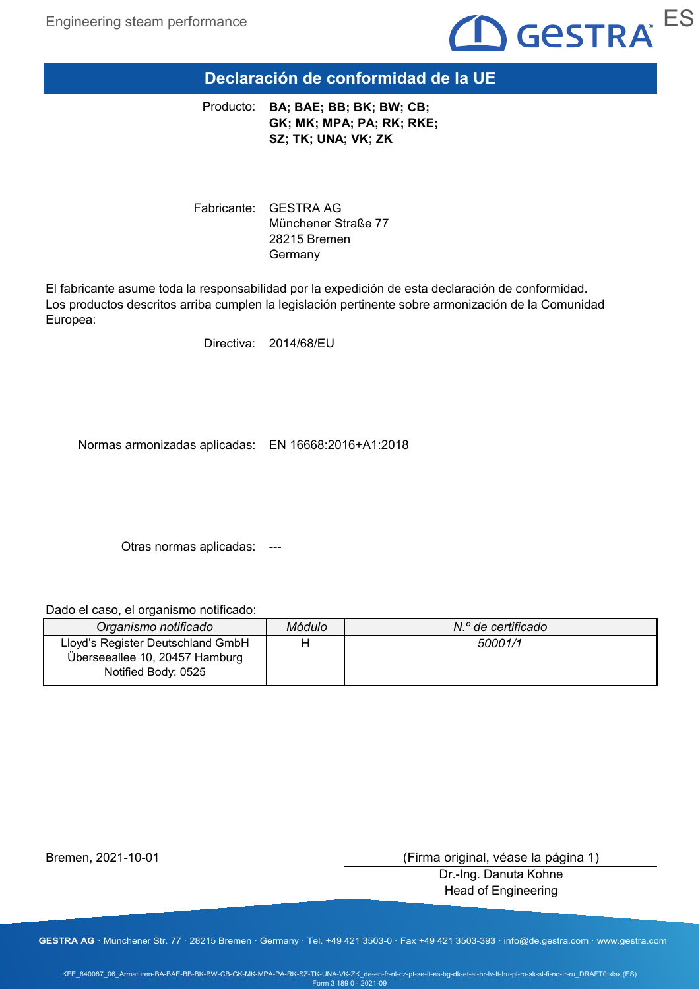

# **Declaración de conformidad de la UE**

Producto: **BA; BAE; BB; BK; BW; CB; GK; MK; MPA; PA; RK; RKE; SZ; TK; UNA; VK; ZK**

Fabricante: GESTRA AG Münchener Straße 77 28215 Bremen Germany

El fabricante asume toda la responsabilidad por la expedición de esta declaración de conformidad. Los productos descritos arriba cumplen la legislación pertinente sobre armonización de la Comunidad Europea:

Directiva: 2014/68/EU

Normas armonizadas aplicadas: EN 16668:2016+A1:2018

Otras normas aplicadas: ---

Dado el caso, el organismo notificado:

| Organismo notificado                                                                       | Módulo | N.º de certificado |
|--------------------------------------------------------------------------------------------|--------|--------------------|
| Lloyd's Register Deutschland GmbH<br>Überseeallee 10, 20457 Hamburg<br>Notified Body: 0525 |        | 50001/1            |

Bremen, 2021-10-01

(Firma original, véase la página 1)

Dr.-Ing. Danuta Kohne Head of Engineering

**GESTRA AG** · Münchener Str. 77 · 28215 Bremen · Germany · Tel. +49 421 3503-0 · Fax +49 421 3503-393 · info@de.gestra.com · www.gestra.com

KFE\_840087\_06\_Armaturen-BA-BAE-BB-BK-BW-CB-GK-MK-MPA-PA-RK-SZ-TK-UNA-VK-ZK\_de-en-fr-nl-cz-pt-se-it-es-bg-dk-et-el-hr-lv-lt-hu-pl-ro-sk-sl-fi-no-tr-ru\_DRAFT0.xlsx (ES) Form 3 189 0 - 2021-09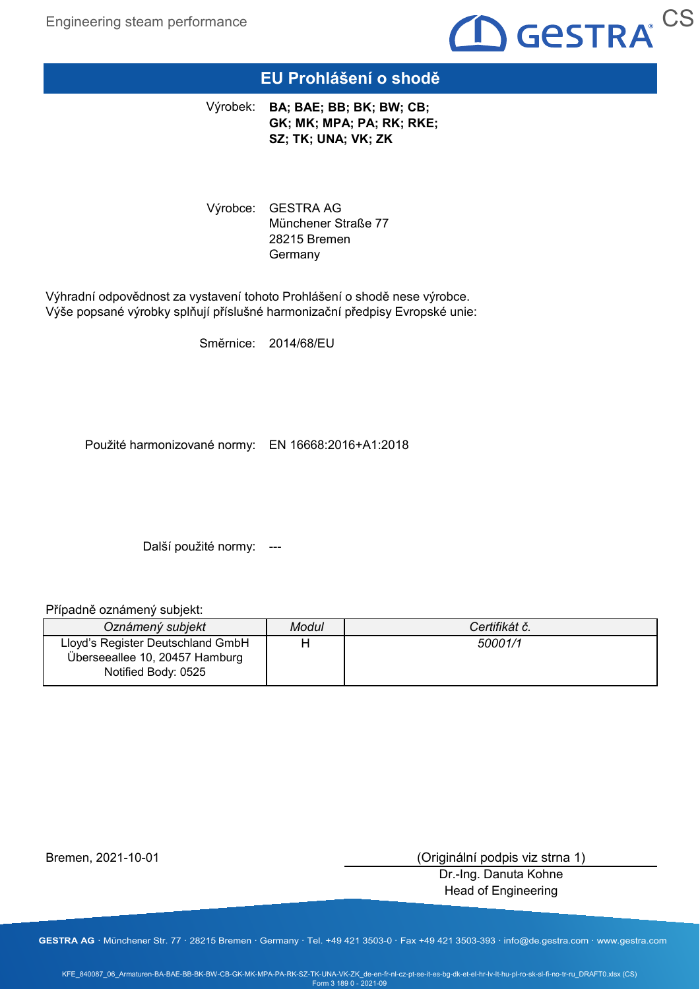

# **EU Prohlášení o shodě**

Výrobek: **BA; BAE; BB; BK; BW; CB; GK; MK; MPA; PA; RK; RKE; SZ; TK; UNA; VK; ZK**

Výrobce: GESTRA AG Münchener Straße 77 28215 Bremen **Germany** 

Výhradní odpovědnost za vystavení tohoto Prohlášení o shodě nese výrobce. Výše popsané výrobky splňují příslušné harmonizační předpisy Evropské unie:

Směrnice: 2014/68/EU

Použité harmonizované normy: EN 16668:2016+A1:2018

Další použité normy: ---

Případně oznámený subjekt:

| Oznámený subjekt                                                                           | Modul | Certifikát č. |
|--------------------------------------------------------------------------------------------|-------|---------------|
| Lloyd's Register Deutschland GmbH<br>Überseeallee 10, 20457 Hamburg<br>Notified Body: 0525 |       | 50001/1       |

Bremen, 2021-10-01

(Originální podpis viz strna 1)

Dr.-Ing. Danuta Kohne Head of Engineering

**GESTRA AG** · Münchener Str. 77 · 28215 Bremen · Germany · Tel. +49 421 3503-0 · Fax +49 421 3503-393 · info@de.gestra.com · www.gestra.com

KFE\_840087\_06\_Armaturen-BA-BAE-BB-BK-BW-CB-GK-MK-MPA-PA-RK-SZ-TK-UNA-VK-ZK\_de-en-fr-nl-cz-pt-se-it-es-bg-dk-et-el-hr-lv-lt-hu-pl-ro-sk-sl-fi-no-tr-ru\_DRAFT0.xlsx (CS) Form 3 189 0 - 2021-09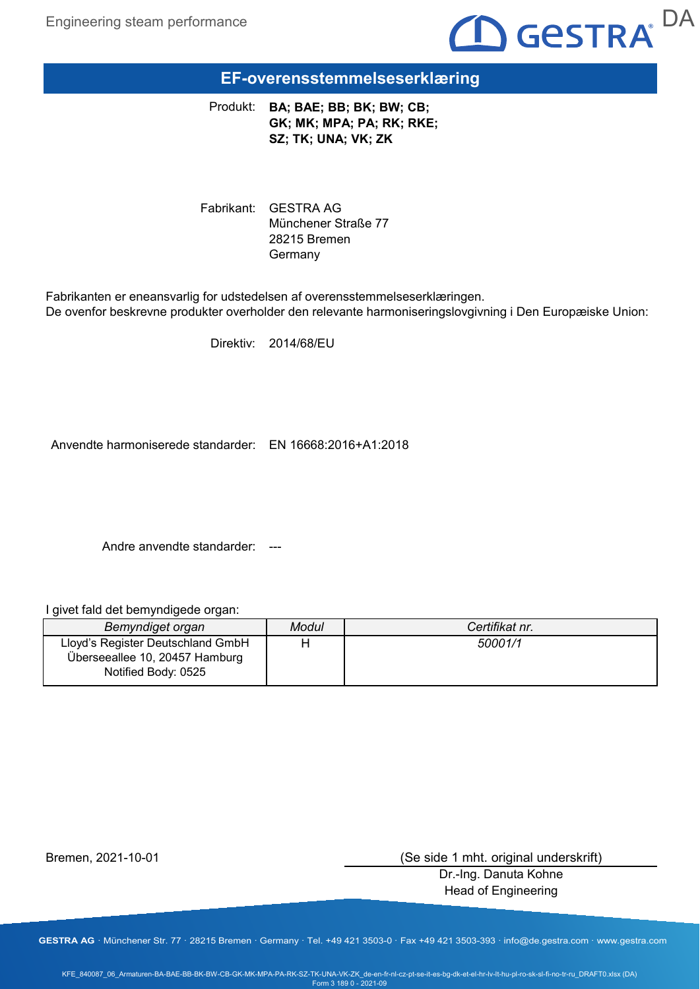

#### **EF-overensstemmelseserklæring**

Produkt: **BA; BAE; BB; BK; BW; CB; GK; MK; MPA; PA; RK; RKE; SZ; TK; UNA; VK; ZK**

Fabrikant: GESTRA AG Münchener Straße 77 28215 Bremen Germany

Fabrikanten er eneansvarlig for udstedelsen af overensstemmelseserklæringen. De ovenfor beskrevne produkter overholder den relevante harmoniseringslovgivning i Den Europæiske Union:

Direktiv: 2014/68/EU

Anvendte harmoniserede standarder: EN 16668:2016+A1:2018

Andre anvendte standarder: ---

I givet fald det bemyndigede organ:

| Bemyndiget organ                  | Modul | Certifikat nr. |
|-----------------------------------|-------|----------------|
| Lloyd's Register Deutschland GmbH |       | 50001/1        |
| Überseeallee 10, 20457 Hamburg    |       |                |
| Notified Body: 0525               |       |                |

Bremen, 2021-10-01

(Se side 1 mht. original underskrift)

Dr.-Ing. Danuta Kohne Head of Engineering

**GESTRA AG** · Münchener Str. 77 · 28215 Bremen · Germany · Tel. +49 421 3503-0 · Fax +49 421 3503-393 · info@de.gestra.com · www.gestra.com

KFE\_840087\_06\_Armaturen-BA-BAE-BB-BK-BW-CB-GK-MK-MPA-PA-RK-SZ-TK-UNA-VK-ZK\_de-en-fr-nl-cz-pt-se-it-es-bg-dk-et-el-hr-lv-lt-hu-pl-ro-sk-sl-fi-no-tr-ru\_DRAFT0.xlsx (DA) Form 3 189 0 - 2021-09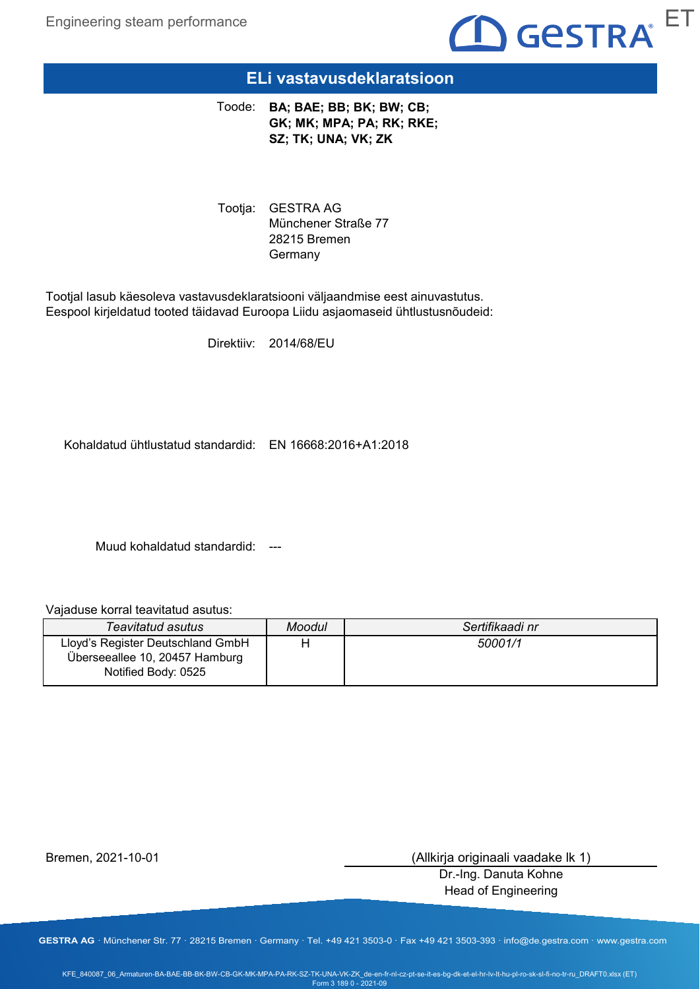

#### **ELi vastavusdeklaratsioon**

**BA; BAE; BB; BK; BW; CB;**  Toode: **GK; MK; MPA; PA; RK; RKE; SZ; TK; UNA; VK; ZK**

Tootja: GESTRA AG Münchener Straße 77 28215 Bremen **Germany** 

Tootjal lasub käesoleva vastavusdeklaratsiooni väljaandmise eest ainuvastutus. Eespool kirjeldatud tooted täidavad Euroopa Liidu asjaomaseid ühtlustusnõudeid:

Direktiiv: 2014/68/EU

Kohaldatud ühtlustatud standardid: EN 16668:2016+A1:2018

Muud kohaldatud standardid: ---

Vajaduse korral teavitatud asutus:

| Teavitatud asutus                                                                          | Moodul | Sertifikaadi nr |
|--------------------------------------------------------------------------------------------|--------|-----------------|
| Lloyd's Register Deutschland GmbH<br>Überseeallee 10, 20457 Hamburg<br>Notified Body: 0525 |        | 50001/1         |

Bremen, 2021-10-01

(Allkirja originaali vaadake lk 1)

Dr.-Ing. Danuta Kohne Head of Engineering

**GESTRA AG** · Münchener Str. 77 · 28215 Bremen · Germany · Tel. +49 421 3503-0 · Fax +49 421 3503-393 · info@de.gestra.com · www.gestra.com

KFE\_840087\_06\_Armaturen-BA-BAE-BB-BK-BW-CB-GK-MK-MPA-PA-RK-SZ-TK-UNA-VK-ZK\_de-en-fr-nl-cz-pt-se-it-es-bg-dk-et-el-hr-lv-lt-hu-pl-ro-sk-sl-fi-no-tr-ru\_DRAFT0.xlsx (ET) Form 3 189 0 - 2021-09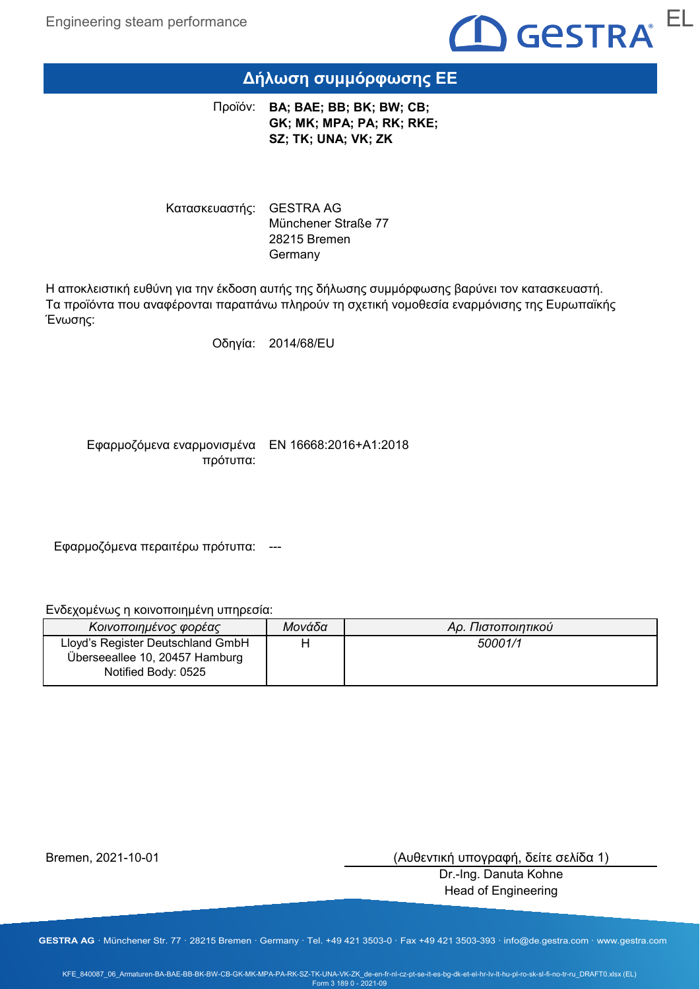

#### **Δήλωση συμμόρφωσης ΕΕ**

**BA; BAE; BB; BK; BW; CB;**  Προϊόν: **GK; MK; MPA; PA; RK; RKE; SZ; TK; UNA; VK; ZK**

Κατασκευαστής: GESTRA AG Münchener Straße 77 28215 Bremen Germany

Η αποκλειστική ευθύνη για την έκδοση αυτής της δήλωσης συμμόρφωσης βαρύνει τον κατασκευαστή. Τα προϊόντα που αναφέρονται παραπάνω πληρούν τη σχετική νομοθεσία εναρμόνισης της Ευρωπαϊκής Ένωσης:

Οδηγία: 2014/68/EU

Εφαρμοζόμενα εναρμονισμένα EN 16668:2016+A1:2018 πρότυπα:

Εφαρμοζόμενα περαιτέρω πρότυπα: ---

Ενδεχομένως η κοινοποιημένη υπηρεσία:

| Κοινοποιημένος φορέας                                                                      | Μονάδα | Αρ. Πιστοποιητικού |
|--------------------------------------------------------------------------------------------|--------|--------------------|
| Lloyd's Register Deutschland GmbH<br>Überseeallee 10, 20457 Hamburg<br>Notified Body: 0525 |        | 50001/1            |

Bremen, 2021-10-01

(Αυθεντική υπογραφή, δείτε σελίδα 1)

Dr.-Ing. Danuta Kohne Head of Engineering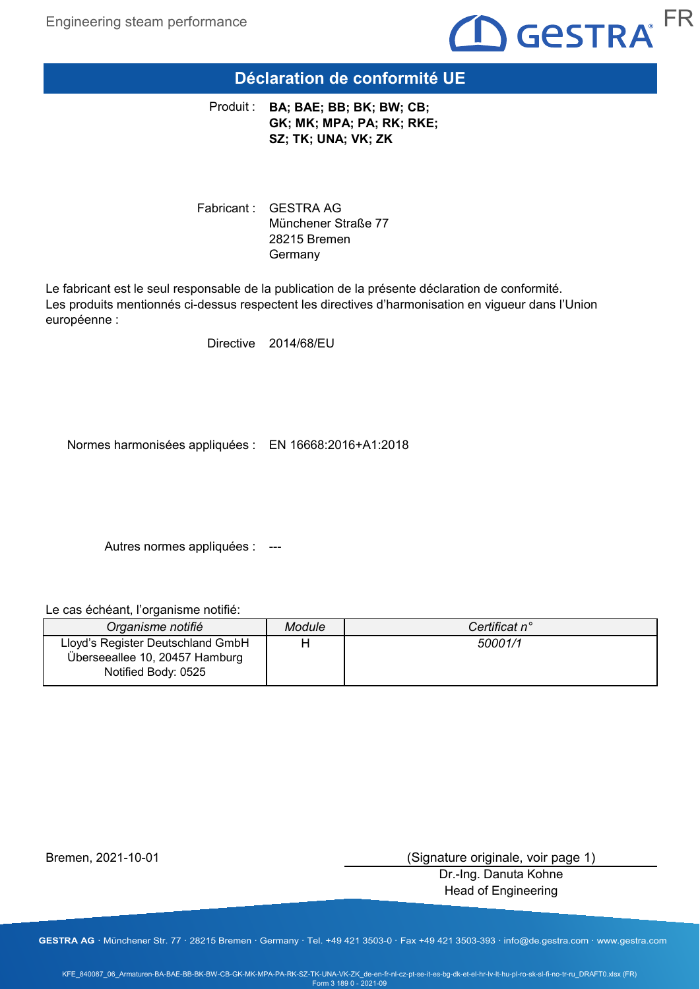

#### **Déclaration de conformité UE**

**Produit : BA; BAE; BB; BK; BW; CB; GK; MK; MPA; PA; RK; RKE; SZ; TK; UNA; VK; ZK**

Fabricant : GESTRA AG Münchener Straße 77 28215 Bremen Germany

Le fabricant est le seul responsable de la publication de la présente déclaration de conformité. Les produits mentionnés ci-dessus respectent les directives d'harmonisation en vigueur dans l'Union européenne :

Directive 2014/68/EU

Normes harmonisées appliquées : EN 16668:2016+A1:2018

Autres normes appliquées : ---

Le cas échéant, l'organisme notifié:

| Organisme notifié                                                                          | Module | Certificat n° |
|--------------------------------------------------------------------------------------------|--------|---------------|
| Lloyd's Register Deutschland GmbH<br>Überseeallee 10, 20457 Hamburg<br>Notified Body: 0525 |        | 50001/1       |

Bremen, 2021-10-01

(Signature originale, voir page 1)

Dr.-Ing. Danuta Kohne Head of Engineering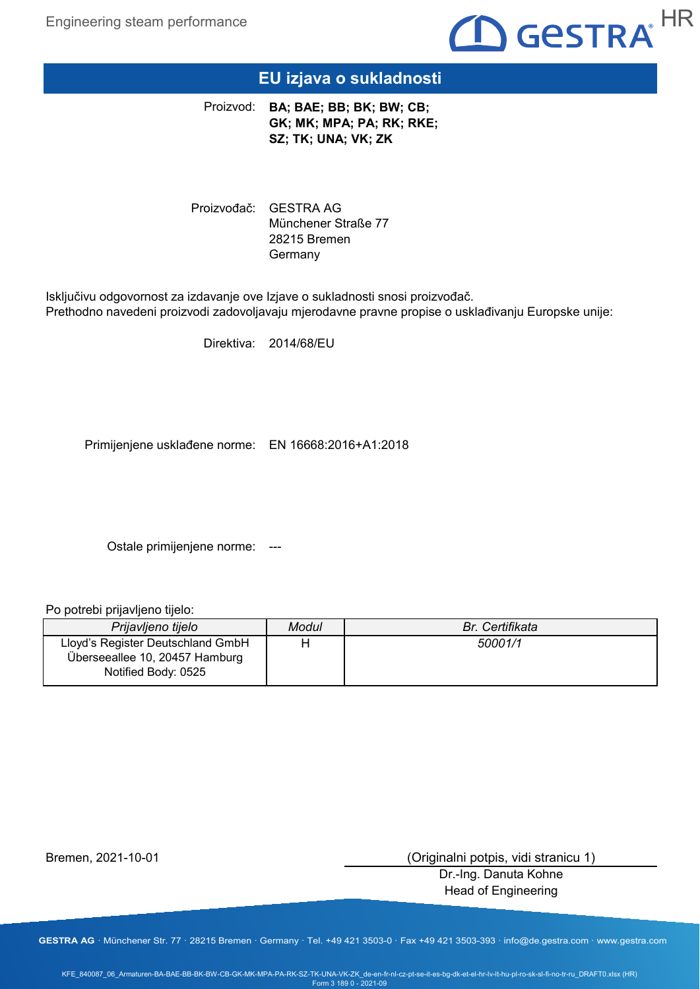

## **EU izjava o sukladnosti**

Proizvod: **BA; BAE; BB; BK; BW; CB; GK; MK; MPA; PA; RK; RKE; SZ; TK; UNA; VK; ZK**

Proizvođač: GESTRA AG Münchener Straße 77 28215 Bremen **Germany** 

Isključivu odgovornost za izdavanje ove Izjave o sukladnosti snosi proizvođač. Prethodno navedeni proizvodi zadovoljavaju mjerodavne pravne propise o usklađivanju Europske unije:

Direktiva: 2014/68/EU

Primijenjene usklađene norme: EN 16668:2016+A1:2018

Ostale primijenjene norme: ---

Po potrebi prijavljeno tijelo:

| Prijavljeno tijelo                                                                         | Modul | Br. Certifikata |
|--------------------------------------------------------------------------------------------|-------|-----------------|
| Lloyd's Register Deutschland GmbH<br>Überseeallee 10, 20457 Hamburg<br>Notified Body: 0525 |       | 50001/1         |

Bremen, 2021-10-01

(Originalni potpis, vidi stranicu 1)

Dr.-Ing. Danuta Kohne Head of Engineering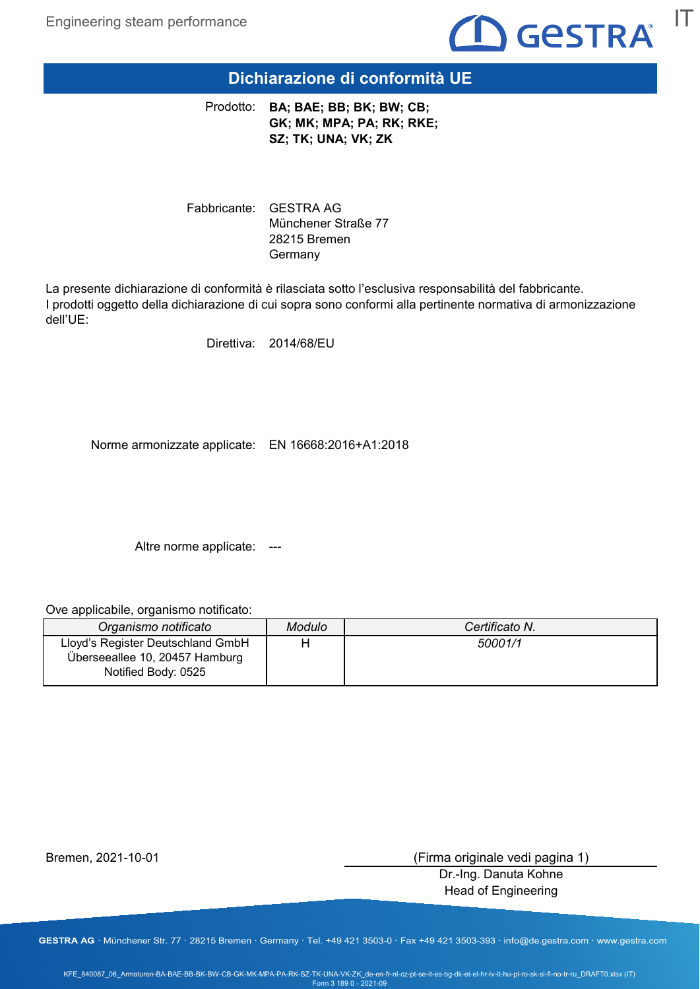

#### **Dichiarazione di conformità UE**

Prodotto: **BA; BAE; BB; BK; BW; CB; GK; MK; MPA; PA; RK; RKE; SZ; TK; UNA; VK; ZK**

Fabbricante: GESTRA AG Münchener Straße 77 28215 Bremen Germany

La presente dichiarazione di conformità è rilasciata sotto l'esclusiva responsabilità del fabbricante. I prodotti oggetto della dichiarazione di cui sopra sono conformi alla pertinente normativa di armonizzazione dell'UE:

Direttiva: 2014/68/EU

Norme armonizzate applicate: EN 16668:2016+A1:2018

Altre norme applicate: ---

Ove applicabile, organismo notificato:

| Organismo notificato                                                                       | Modulo | Certificato N. |
|--------------------------------------------------------------------------------------------|--------|----------------|
| Lloyd's Register Deutschland GmbH<br>Überseeallee 10, 20457 Hamburg<br>Notified Body: 0525 |        | 50001/1        |

Bremen, 2021-10-01

(Firma originale vedi pagina 1)

Dr.-Ing. Danuta Kohne Head of Engineering

**GESTRA AG** · Münchener Str. 77 · 28215 Bremen · Germany · Tel. +49 421 3503-0 · Fax +49 421 3503-393 · info@de.gestra.com · www.gestra.com

KFE\_840087\_06\_Armaturen-BA-BAE-BB-BK-BW-CB-GK-MK-MPA-PA-RK-SZ-TK-UNA-VK-ZK\_de-en-fr-nl-cz-pt-se-it-es-bg-dk-et-el-hr-lv-lt-hu-pl-ro-sk-sl-fi-no-tr-ru\_DRAFT0.xlsx (IT) Form 3 189 0 - 2021-09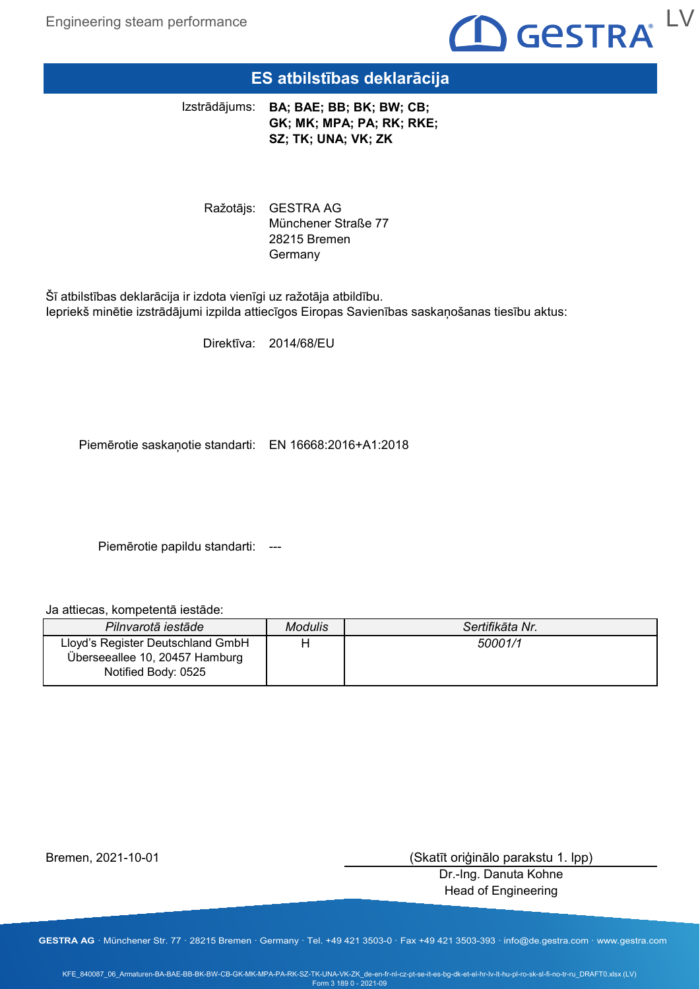Engineering steam performance



#### **ES atbilstības deklarācija**

Izstrādājums: **BA; BAE; BB; BK; BW; CB;** 

**GK; MK; MPA; PA; RK; RKE; SZ; TK; UNA; VK; ZK**

Ražotājs: GESTRA AG Münchener Straße 77 28215 Bremen **Germany** 

Šī atbilstības deklarācija ir izdota vienīgi uz ražotāja atbildību. Iepriekš minētie izstrādājumi izpilda attiecīgos Eiropas Savienības saskaņošanas tiesību aktus:

Direktīva: 2014/68/EU

Piemērotie saskaņotie standarti: EN 16668:2016+A1:2018

Piemērotie papildu standarti: ---

Ja attiecas, kompetentā iestāde:

| Pilnvarotā iestāde                                                                         | <b>Modulis</b> | Sertifikāta Nr. |
|--------------------------------------------------------------------------------------------|----------------|-----------------|
| Lloyd's Register Deutschland GmbH<br>Überseeallee 10, 20457 Hamburg<br>Notified Body: 0525 |                | 50001/1         |

Bremen, 2021-10-01

(Skatīt oriģinālo parakstu 1. lpp)

Dr.-Ing. Danuta Kohne Head of Engineering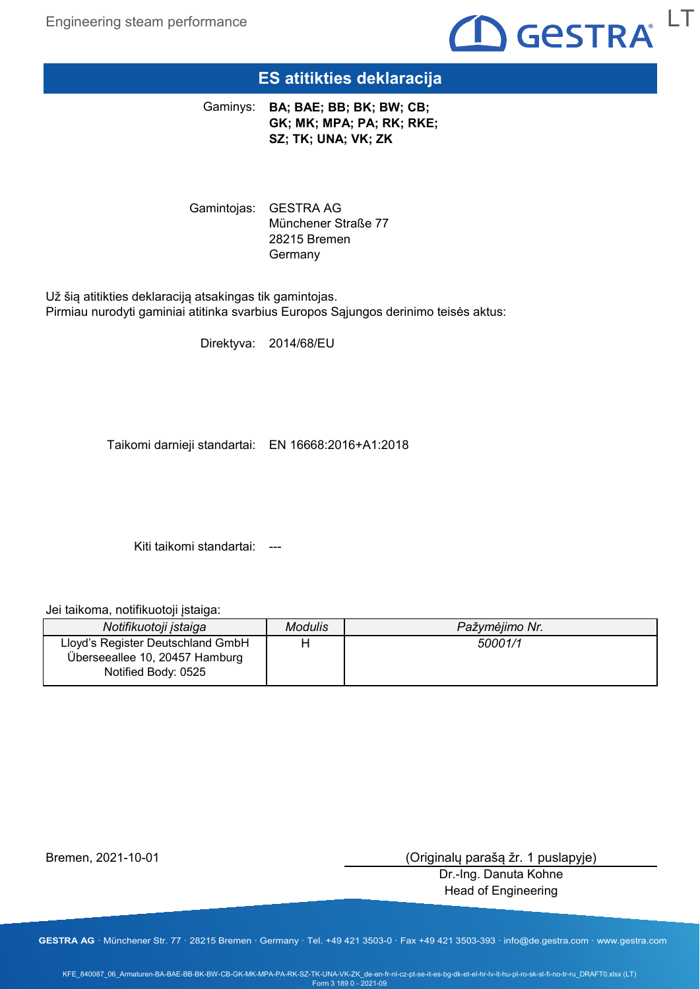

### **ES atitikties deklaracija**

Gaminys: **BA; BAE; BB; BK; BW; CB; GK; MK; MPA; PA; RK; RKE; SZ; TK; UNA; VK; ZK**

Gamintojas: GESTRA AG Münchener Straße 77 28215 Bremen **Germany** 

Už šią atitikties deklaraciją atsakingas tik gamintojas. Pirmiau nurodyti gaminiai atitinka svarbius Europos Sąjungos derinimo teisės aktus:

Direktyva: 2014/68/EU

Taikomi darnieji standartai: EN 16668:2016+A1:2018

Kiti taikomi standartai: ---

Jei taikoma, notifikuotoji įstaiga:

| Notifikuotoji įstaiga                                                                      | Modulis | Pažymėjimo Nr. |
|--------------------------------------------------------------------------------------------|---------|----------------|
| Lloyd's Register Deutschland GmbH<br>Überseeallee 10, 20457 Hamburg<br>Notified Body: 0525 |         | 50001/1        |

Bremen, 2021-10-01

(Originalų parašą žr. 1 puslapyje)

Dr.-Ing. Danuta Kohne Head of Engineering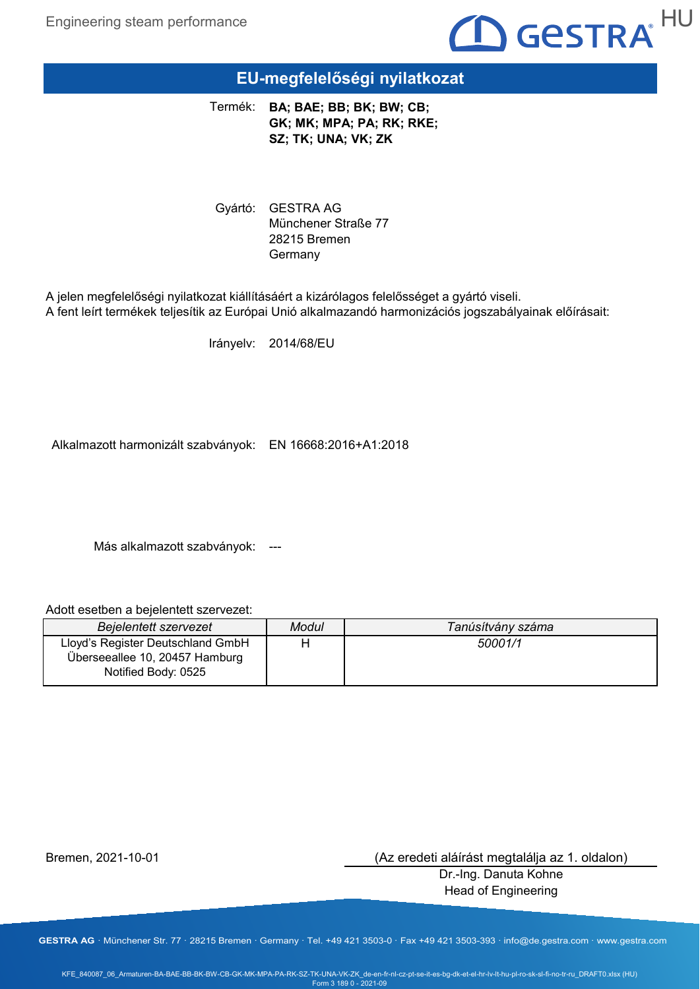

#### **EU-megfelelőségi nyilatkozat**

**BA; BAE; BB; BK; BW; CB;**  Termék: **GK; MK; MPA; PA; RK; RKE; SZ; TK; UNA; VK; ZK**

Gyártó: GESTRA AG Münchener Straße 77 28215 Bremen Germany

A jelen megfelelőségi nyilatkozat kiállításáért a kizárólagos felelősséget a gyártó viseli. A fent leírt termékek teljesítik az Európai Unió alkalmazandó harmonizációs jogszabályainak előírásait:

Irányelv: 2014/68/EU

Alkalmazott harmonizált szabványok: EN 16668:2016+A1:2018

Más alkalmazott szabványok: ---

Adott esetben a bejelentett szervezet:

| Bejelentett szervezet                                                                      | Modul | Tanúsítvány száma |
|--------------------------------------------------------------------------------------------|-------|-------------------|
| Lloyd's Register Deutschland GmbH<br>Überseeallee 10, 20457 Hamburg<br>Notified Body: 0525 |       | 50001/1           |

Bremen, 2021-10-01

(Az eredeti aláírást megtalálja az 1. oldalon)

Dr.-Ing. Danuta Kohne Head of Engineering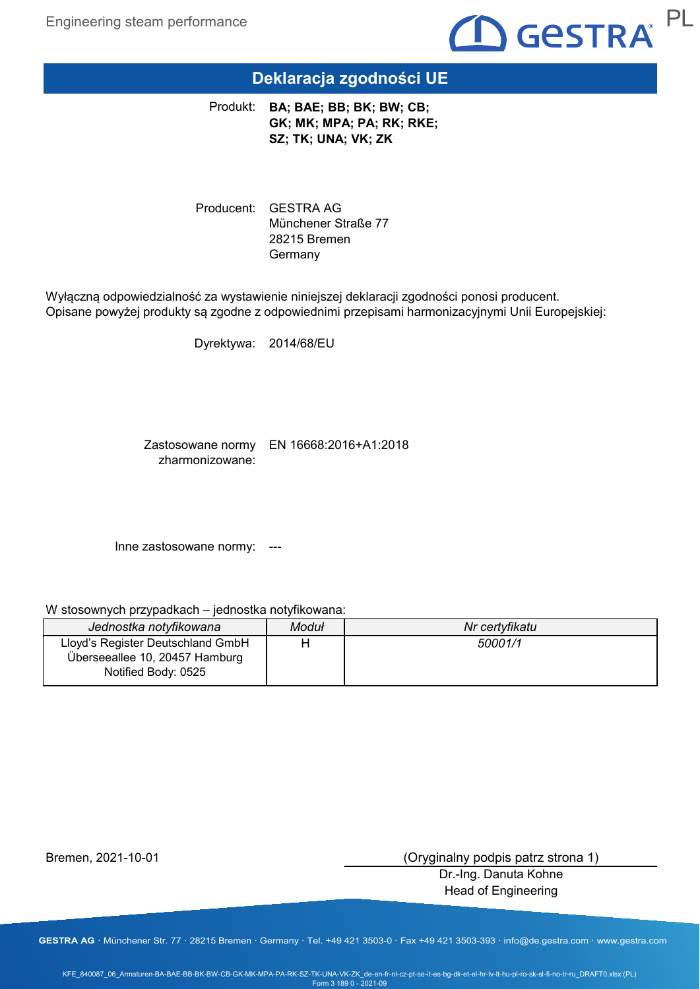

# **Deklaracja zgodności UE**

Produkt: **BA; BAE; BB; BK; BW; CB; GK; MK; MPA; PA; RK; RKE; SZ; TK; UNA; VK; ZK**

Producent: GESTRA AG Münchener Straße 77 28215 Bremen Germany

Wyłączną odpowiedzialność za wystawienie niniejszej deklaracji zgodności ponosi producent. Opisane powyżej produkty są zgodne z odpowiednimi przepisami harmonizacyjnymi Unii Europejskiej:

Dyrektywa: 2014/68/EU

Zastosowane normy EN 16668:2016+A1:2018 zharmonizowane:

Inne zastosowane normy: ---

#### W stosownych przypadkach – jednostka notyfikowana:

| Jednostka notyfikowana                                                                     | Moduł | Nr certyfikatu |
|--------------------------------------------------------------------------------------------|-------|----------------|
| Lloyd's Register Deutschland GmbH<br>Überseeallee 10, 20457 Hamburg<br>Notified Body: 0525 |       | 50001/1        |

Bremen, 2021-10-01

(Oryginalny podpis patrz strona 1)

Dr.-Ing. Danuta Kohne Head of Engineering

**GESTRA AG** · Münchener Str. 77 · 28215 Bremen · Germany · Tel. +49 421 3503-0 · Fax +49 421 3503-393 · info@de.gestra.com · www.gestra.com

KFE\_840087\_06\_Armaturen-BA-BAE-BB-BK-BW-CB-GK-MK-MPA-PA-RK-SZ-TK-UNA-VK-ZK\_de-en-fr-nl-cz-pt-se-it-es-bg-dk-et-el-hr-lv-lt-hu-pl-ro-sk-sl-fi-no-tr-ru\_DRAFT0.xlsx (PL) Form 3 189 0 - 2021-09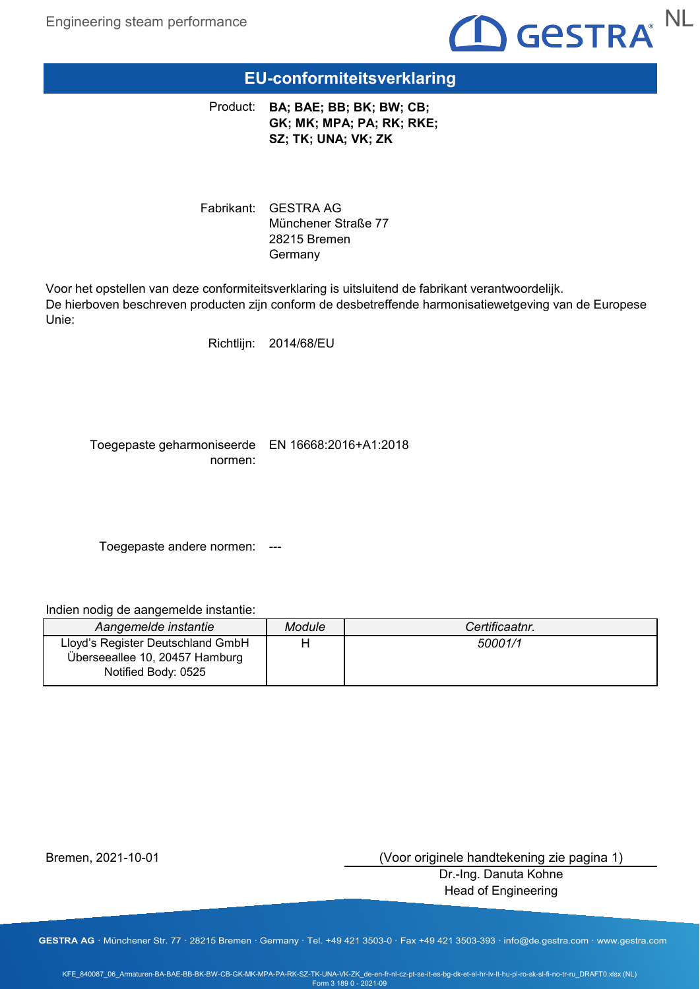

#### **EU-conformiteitsverklaring**

Product: **BA; BAE; BB; BK; BW; CB; GK; MK; MPA; PA; RK; RKE; SZ; TK; UNA; VK; ZK**

Fabrikant: GESTRA AG Münchener Straße 77 28215 Bremen Germany

Voor het opstellen van deze conformiteitsverklaring is uitsluitend de fabrikant verantwoordelijk. De hierboven beschreven producten zijn conform de desbetreffende harmonisatiewetgeving van de Europese Unie:

Richtlijn: 2014/68/EU

Toegepaste geharmoniseerde EN 16668:2016+A1:2018 normen:

Toegepaste andere normen: ---

Indien nodig de aangemelde instantie:

| Aangemelde instantie                                                                       | Module | Certificaatnr. |
|--------------------------------------------------------------------------------------------|--------|----------------|
| Lloyd's Register Deutschland GmbH<br>Überseeallee 10, 20457 Hamburg<br>Notified Body: 0525 |        | 50001/1        |

Bremen, 2021-10-01

(Voor originele handtekening zie pagina 1)

Dr.-Ing. Danuta Kohne Head of Engineering

**GESTRA AG** · Münchener Str. 77 · 28215 Bremen · Germany · Tel. +49 421 3503-0 · Fax +49 421 3503-393 · info@de.gestra.com · www.gestra.com

KFE\_840087\_06\_Armaturen-BA-BAE-BB-BK-BW-CB-GK-MK-MPA-PA-RK-SZ-TK-UNA-VK-ZK\_de-en-fr-nl-cz-pt-se-it-es-bg-dk-et-el-hr-lv-lt-hu-pl-ro-sk-sl-fi-no-tr-ru\_DRAFT0.xlsx (NL) Form 3 189 0 - 2021-09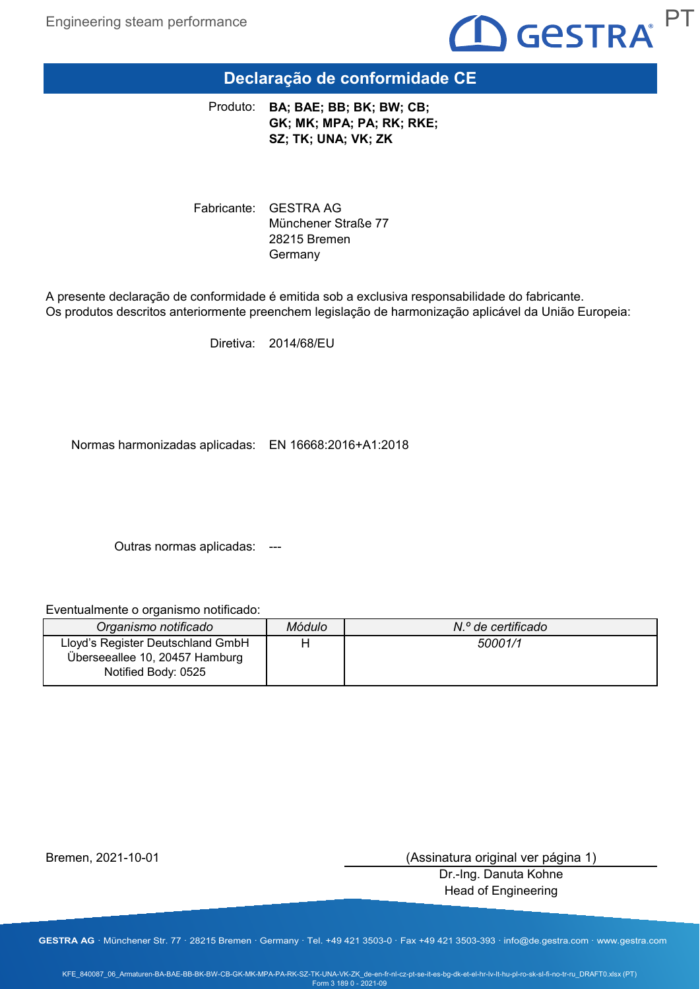

#### **Declaração de conformidade CE**

Produto: **BA; BAE; BB; BK; BW; CB; GK; MK; MPA; PA; RK; RKE; SZ; TK; UNA; VK; ZK**

Fabricante: GESTRA AG Münchener Straße 77 28215 Bremen Germany

A presente declaração de conformidade é emitida sob a exclusiva responsabilidade do fabricante. Os produtos descritos anteriormente preenchem legislação de harmonização aplicável da União Europeia:

Diretiva: 2014/68/EU

Normas harmonizadas aplicadas: EN 16668:2016+A1:2018

Outras normas aplicadas: ---

Eventualmente o organismo notificado:

| Organismo notificado                                                                       | Módulo | N.º de certificado |
|--------------------------------------------------------------------------------------------|--------|--------------------|
| Lloyd's Register Deutschland GmbH<br>Überseeallee 10, 20457 Hamburg<br>Notified Body: 0525 |        | 50001/1            |

Bremen, 2021-10-01

(Assinatura original ver página 1)

Dr.-Ing. Danuta Kohne Head of Engineering

**GESTRA AG** · Münchener Str. 77 · 28215 Bremen · Germany · Tel. +49 421 3503-0 · Fax +49 421 3503-393 · info@de.gestra.com · www.gestra.com

KFE\_840087\_06\_Armaturen-BA-BAE-BB-BK-BW-CB-GK-MK-MPA-PA-RK-SZ-TK-UNA-VK-ZK\_de-en-fr-nl-cz-pt-se-it-es-bg-dk-et-el-hr-lv-lt-hu-pl-ro-sk-sl-fi-no-tr-ru\_DRAFT0.xlsx (PT) Form 3 189 0 - 2021-09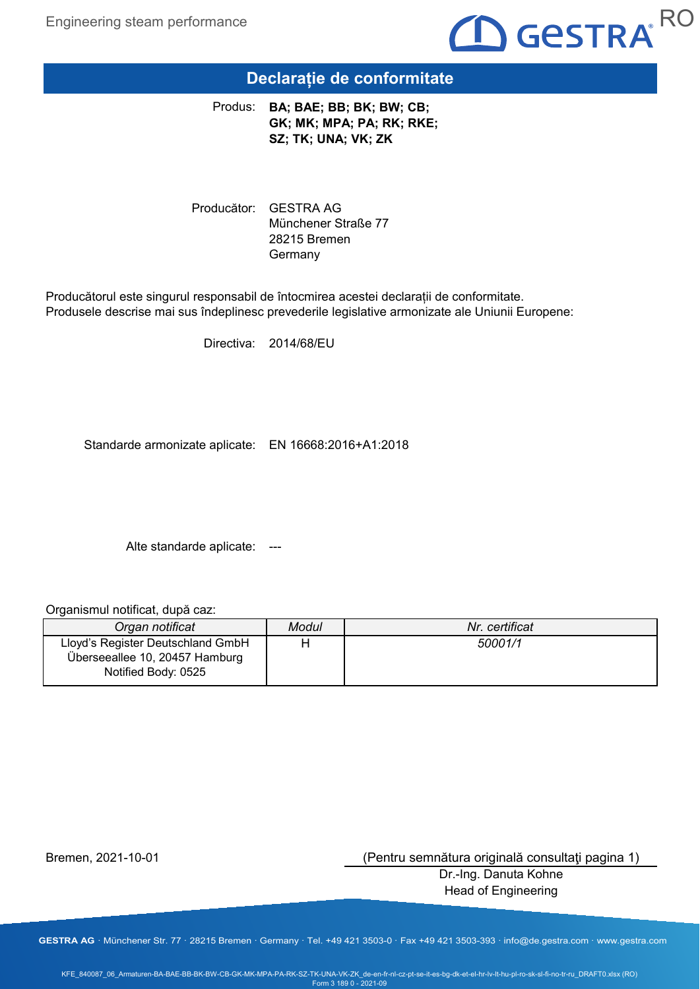

#### **Declarație de conformitate**

Produs: **BA; BAE; BB; BK; BW; CB; GK; MK; MPA; PA; RK; RKE; SZ; TK; UNA; VK; ZK**

Producător: GESTRA AG Münchener Straße 77 28215 Bremen **Germany** 

Producătorul este singurul responsabil de întocmirea acestei declarații de conformitate. Produsele descrise mai sus îndeplinesc prevederile legislative armonizate ale Uniunii Europene:

Directiva: 2014/68/EU

Standarde armonizate aplicate: EN 16668:2016+A1:2018

Alte standarde aplicate: ---

Organismul notificat, după caz:

| Organ notificat                                                                            | Modul | Nr. certificat |
|--------------------------------------------------------------------------------------------|-------|----------------|
| Lloyd's Register Deutschland GmbH<br>Überseeallee 10, 20457 Hamburg<br>Notified Body: 0525 |       | 50001/1        |

Bremen, 2021-10-01

(Pentru semnătura originală consultaţi pagina 1)

Dr.-Ing. Danuta Kohne Head of Engineering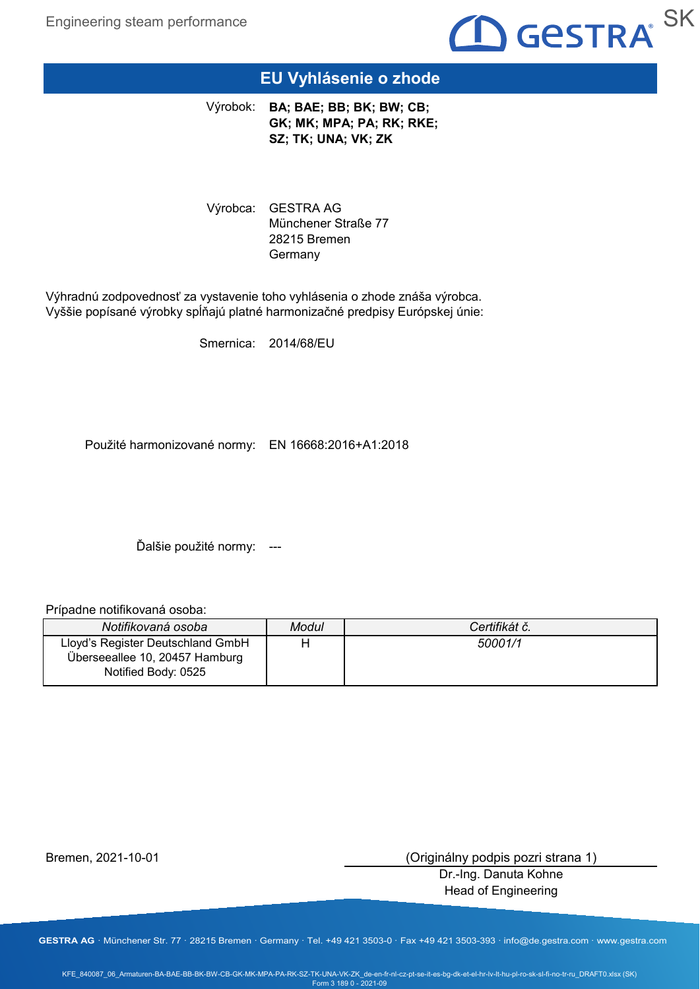

### **EU Vyhlásenie o zhode**

Výrobok: **BA; BAE; BB; BK; BW; CB; GK; MK; MPA; PA; RK; RKE; SZ; TK; UNA; VK; ZK**

Výrobca: GESTRA AG Münchener Straße 77 28215 Bremen **Germany** 

Výhradnú zodpovednosť za vystavenie toho vyhlásenia o zhode znáša výrobca. Vyššie popísané výrobky spĺňajú platné harmonizačné predpisy Európskej únie:

Smernica: 2014/68/EU

Použité harmonizované normy: EN 16668:2016+A1:2018

Ďalšie použité normy: ---

Prípadne notifikovaná osoba:

| Notifikovaná osoba                                                                         | Modul | Certifikát č. |
|--------------------------------------------------------------------------------------------|-------|---------------|
| Lloyd's Register Deutschland GmbH<br>Überseeallee 10, 20457 Hamburg<br>Notified Body: 0525 |       | 50001/1       |

Bremen, 2021-10-01

(Originálny podpis pozri strana 1)

Dr.-Ing. Danuta Kohne Head of Engineering

**GESTRA AG** · Münchener Str. 77 · 28215 Bremen · Germany · Tel. +49 421 3503-0 · Fax +49 421 3503-393 · info@de.gestra.com · www.gestra.com

KFE\_840087\_06\_Armaturen-BA-BAE-BB-BK-BW-CB-GK-MK-MPA-PA-RK-SZ-TK-UNA-VK-ZK\_de-en-fr-nl-cz-pt-se-it-es-bg-dk-et-el-hr-lv-lt-hu-pl-ro-sk-sl-fi-no-tr-ru\_DRAFT0.xlsx (SK) Form 3 189 0 - 2021-09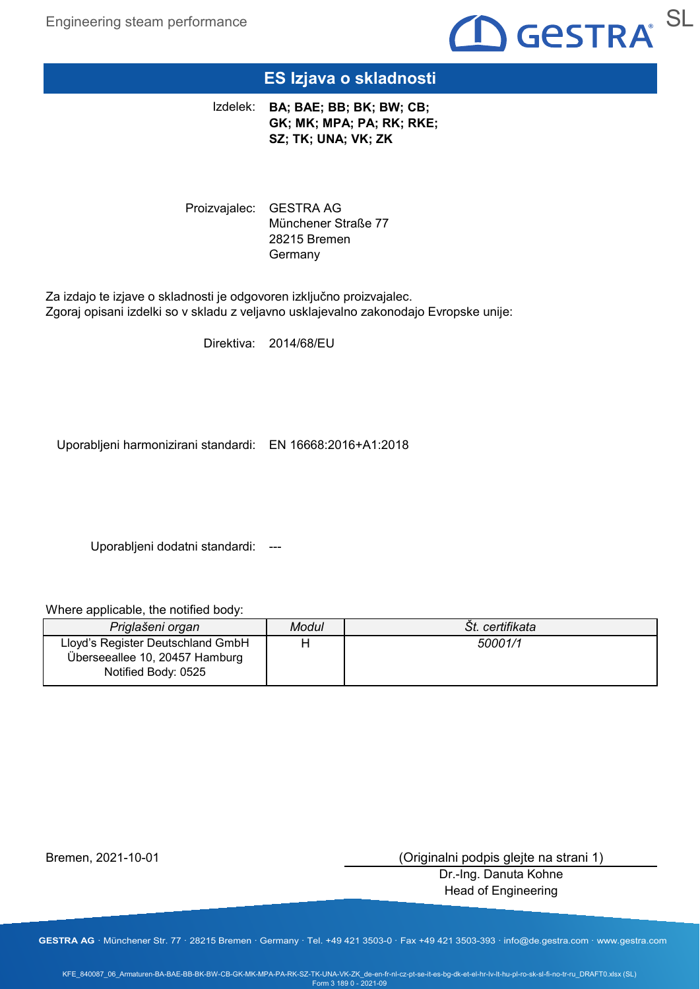

# **ES Izjava o skladnosti**

**BA; BAE; BB; BK; BW; CB;**  Izdelek: **GK; MK; MPA; PA; RK; RKE; SZ; TK; UNA; VK; ZK**

Proizvajalec: GESTRA AG Münchener Straße 77 28215 Bremen **Germany** 

Za izdajo te izjave o skladnosti je odgovoren izključno proizvajalec. Zgoraj opisani izdelki so v skladu z veljavno usklajevalno zakonodajo Evropske unije:

Direktiva: 2014/68/EU

Uporabljeni harmonizirani standardi: EN 16668:2016+A1:2018

Uporabljeni dodatni standardi: ---

Where applicable, the notified body:

| Priglašeni organ                                                                           | Modul | Št. certifikata |
|--------------------------------------------------------------------------------------------|-------|-----------------|
| Lloyd's Register Deutschland GmbH<br>Überseeallee 10, 20457 Hamburg<br>Notified Body: 0525 |       | 50001/1         |

Bremen, 2021-10-01

(Originalni podpis glejte na strani 1)

Dr.-Ing. Danuta Kohne Head of Engineering

**GESTRA AG** · Münchener Str. 77 · 28215 Bremen · Germany · Tel. +49 421 3503-0 · Fax +49 421 3503-393 · info@de.gestra.com · www.gestra.com

KFE\_840087\_06\_Armaturen-BA-BAE-BB-BK-BW-CB-GK-MK-MPA-PA-RK-SZ-TK-UNA-VK-ZK\_de-en-fr-nl-cz-pt-se-it-es-bg-dk-et-el-hr-lv-lt-hu-pl-ro-sk-sl-fi-no-tr-ru\_DRAFT0.xlsx (SL) Form 3 189 0 - 2021-09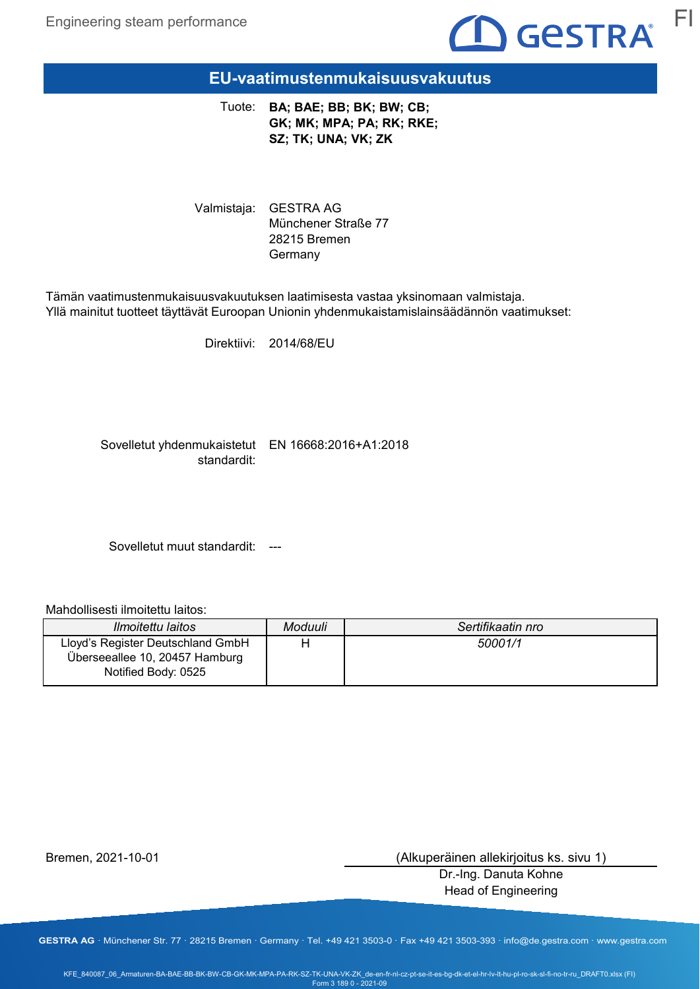

**EU-vaatimustenmukaisuusvakuutus**

**BA; BAE; BB; BK; BW; CB;**  Tuote: **GK; MK; MPA; PA; RK; RKE; SZ; TK; UNA; VK; ZK**

Valmistaja: GESTRA AG Münchener Straße 77 28215 Bremen Germany

Tämän vaatimustenmukaisuusvakuutuksen laatimisesta vastaa yksinomaan valmistaja. Yllä mainitut tuotteet täyttävät Euroopan Unionin yhdenmukaistamislainsäädännön vaatimukset:

Direktiivi: 2014/68/EU

Sovelletut yhdenmukaistetut EN 16668:2016+A1:2018 standardit:

Sovelletut muut standardit: ---

Mahdollisesti ilmoitettu laitos:

| <i><b>Ilmoitettu laitos</b></i>                                                            | Moduuli | Sertifikaatin nro |
|--------------------------------------------------------------------------------------------|---------|-------------------|
| Lloyd's Register Deutschland GmbH<br>Überseeallee 10, 20457 Hamburg<br>Notified Body: 0525 |         | 50001/1           |

Bremen, 2021-10-01

(Alkuperäinen allekirjoitus ks. sivu 1)

Dr.-Ing. Danuta Kohne Head of Engineering

**GESTRA AG** · Münchener Str. 77 · 28215 Bremen · Germany · Tel. +49 421 3503-0 · Fax +49 421 3503-393 · info@de.gestra.com · www.gestra.com

KFE\_840087\_06\_Armaturen-BA-BAE-BB-BK-BW-CB-GK-MK-MPA-PA-RK-SZ-TK-UNA-VK-ZK\_de-en-fr-nl-cz-pt-se-it-es-bg-dk-et-el-hr-lv-lt-hu-pl-ro-sk-sl-fi-no-tr-ru\_DRAFT0.xlsx (FI) Form 3 189 0 - 2021-09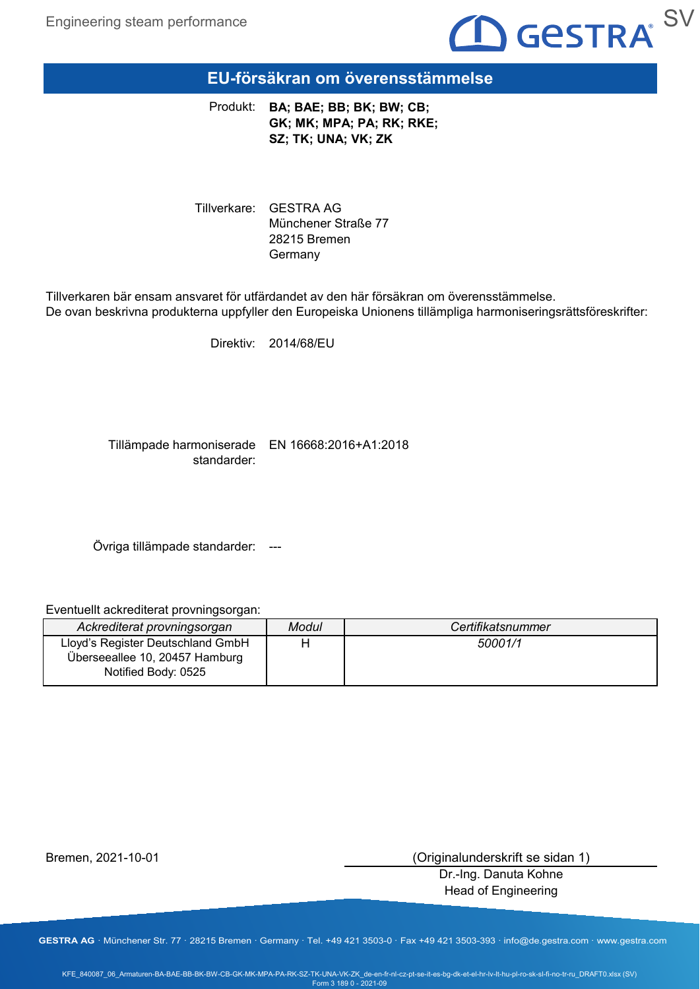

**EU-försäkran om överensstämmelse**

Produkt: **BA; BAE; BB; BK; BW; CB; GK; MK; MPA; PA; RK; RKE; SZ; TK; UNA; VK; ZK**

Tillverkare: GESTRA AG Münchener Straße 77 28215 Bremen Germany

Tillverkaren bär ensam ansvaret för utfärdandet av den här försäkran om överensstämmelse. De ovan beskrivna produkterna uppfyller den Europeiska Unionens tillämpliga harmoniseringsrättsföreskrifter:

Direktiv: 2014/68/EU

Tillämpade harmoniserade EN 16668:2016+A1:2018 standarder:

Övriga tillämpade standarder: ---

Eventuellt ackrediterat provningsorgan:

| Ackrediterat provningsorgan                                                                | Modul | Certifikatsnummer |
|--------------------------------------------------------------------------------------------|-------|-------------------|
| Lloyd's Register Deutschland GmbH<br>Überseeallee 10, 20457 Hamburg<br>Notified Body: 0525 | н     | 50001/1           |

Bremen, 2021-10-01

(Originalunderskrift se sidan 1)

Dr.-Ing. Danuta Kohne Head of Engineering

**GESTRA AG** · Münchener Str. 77 · 28215 Bremen · Germany · Tel. +49 421 3503-0 · Fax +49 421 3503-393 · info@de.gestra.com · www.gestra.com

KFE\_840087\_06\_Armaturen-BA-BAE-BB-BK-BW-CB-GK-MK-MPA-PA-RK-SZ-TK-UNA-VK-ZK\_de-en-fr-nl-cz-pt-se-it-es-bg-dk-et-el-hr-lv-lt-hu-pl-ro-sk-sl-fi-no-tr-ru\_DRAFT0.xlsx (SV) Form 3 189 0 - 2021-09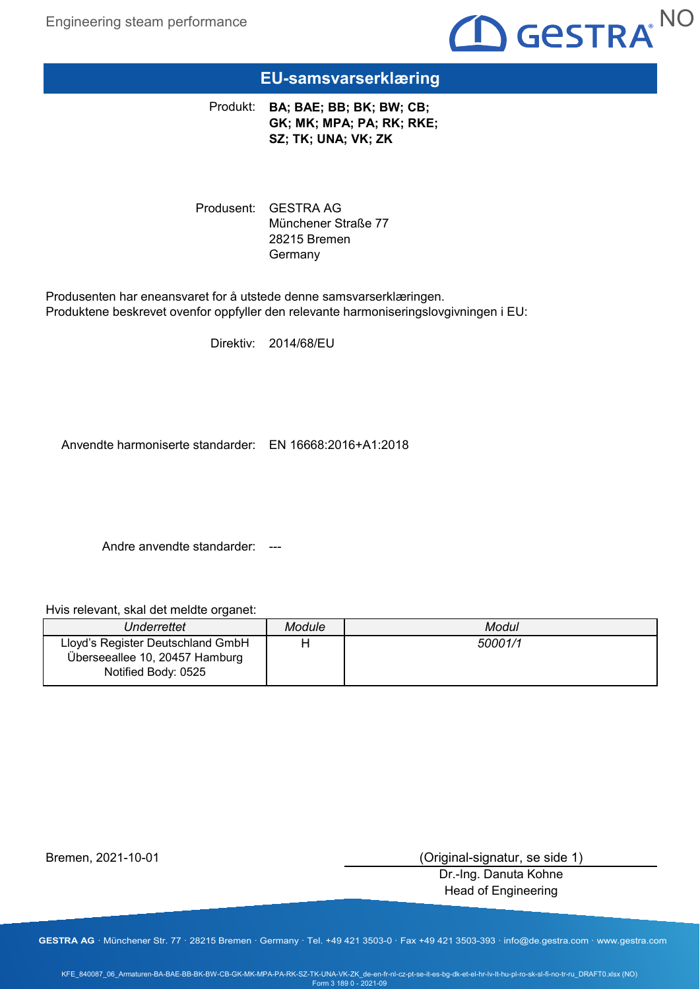

#### **EU-samsvarserklæring**

Produkt: **BA; BAE; BB; BK; BW; CB; GK; MK; MPA; PA; RK; RKE; SZ; TK; UNA; VK; ZK**

Produsent: GESTRA AG Münchener Straße 77 28215 Bremen **Germany** 

Produsenten har eneansvaret for å utstede denne samsvarserklæringen. Produktene beskrevet ovenfor oppfyller den relevante harmoniseringslovgivningen i EU:

Direktiv: 2014/68/EU

Anvendte harmoniserte standarder: EN 16668:2016+A1:2018

Andre anvendte standarder: ---

Hvis relevant, skal det meldte organet:

| Underrettet                                                                                | Module | Modul   |
|--------------------------------------------------------------------------------------------|--------|---------|
| Lloyd's Register Deutschland GmbH<br>Überseeallee 10, 20457 Hamburg<br>Notified Body: 0525 |        | 50001/1 |

Bremen, 2021-10-01

(Original-signatur, se side 1)

Dr.-Ing. Danuta Kohne Head of Engineering

**GESTRA AG** · Münchener Str. 77 · 28215 Bremen · Germany · Tel. +49 421 3503-0 · Fax +49 421 3503-393 · info@de.gestra.com · www.gestra.com

KFE\_840087\_06\_Armaturen-BA-BAE-BB-BK-BW-CB-GK-MK-MPA-PA-RK-SZ-TK-UNA-VK-ZK\_de-en-fr-nl-cz-pt-se-it-es-bg-dk-et-el-hr-lv-lt-hu-pl-ro-sk-sl-fi-no-tr-ru\_DRAFT0.xlsx (NO) Form 3 189 0 - 2021-09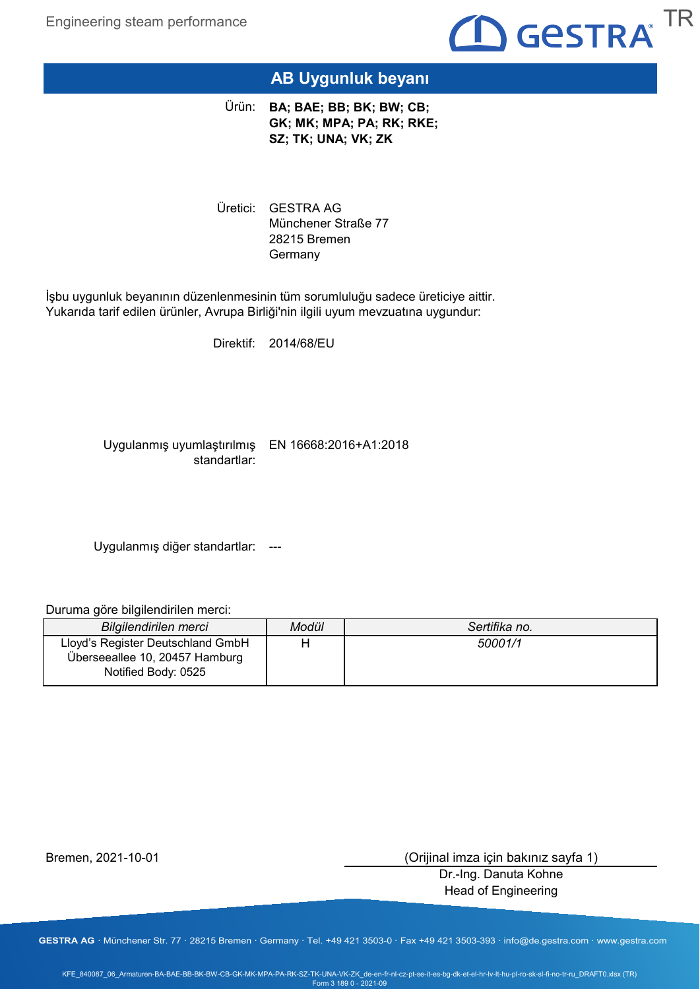

# **AB Uygunluk beyanı**

Urün: **BA; BAE; BB; BK; BW; CB; GK; MK; MPA; PA; RK; RKE; SZ; TK; UNA; VK; ZK**

Uretici: GESTRA AG Münchener Straße 77 28215 Bremen **Germany** 

İşbu uygunluk beyanının düzenlenmesinin tüm sorumluluğu sadece üreticiye aittir. Yukarıda tarif edilen ürünler, Avrupa Birliği'nin ilgili uyum mevzuatına uygundur:

Direktif: 2014/68/EU

Uygulanmış uyumlaştırılmış EN 16668:2016+A1:2018 standartlar:

Uygulanmış diğer standartlar: ---

Duruma göre bilgilendirilen merci:

| <b>Bilgilendirilen merci</b>                                                               | Modül | Sertifika no. |
|--------------------------------------------------------------------------------------------|-------|---------------|
| Lloyd's Register Deutschland GmbH<br>Überseeallee 10, 20457 Hamburg<br>Notified Body: 0525 |       | 50001/1       |

Bremen, 2021-10-01

(Orijinal imza için bakınız sayfa 1)

Dr.-Ing. Danuta Kohne Head of Engineering

**GESTRA AG** · Münchener Str. 77 · 28215 Bremen · Germany · Tel. +49 421 3503-0 · Fax +49 421 3503-393 · info@de.gestra.com · www.gestra.com

KFE\_840087\_06\_Armaturen-BA-BAE-BB-BK-BW-CB-GK-MK-MPA-PA-RK-SZ-TK-UNA-VK-ZK\_de-en-fr-nl-cz-pt-se-it-es-bg-dk-et-el-hr-lv-lt-hu-pl-ro-sk-sl-fi-no-tr-ru\_DRAFT0.xlsx (TR) Form 3 189 0 - 2021-09